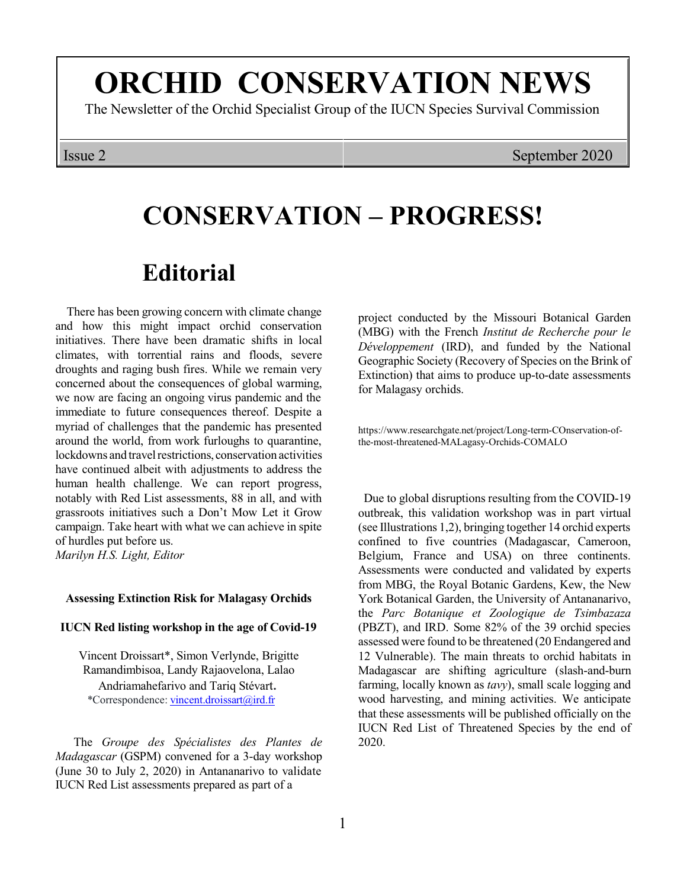# **ORCHID CONSERVATION NEWS**

The Newsletter of the Orchid Specialist Group of the IUCN Species Survival Commission

### Issue 2 September 2020

## **CONSERVATION – PROGRESS!**

## **Editorial**

There has been growing concern with climate change and how this might impact orchid conservation initiatives. There have been dramatic shifts in local climates, with torrential rains and floods, severe droughts and raging bush fires. While we remain very concerned about the consequences of global warming, we now are facing an ongoing virus pandemic and the immediate to future consequences thereof. Despite a myriad of challenges that the pandemic has presented around the world, from work furloughs to quarantine, lockdowns and travel restrictions, conservation activities have continued albeit with adjustments to address the human health challenge. We can report progress, notably with Red List assessments, 88 in all, and with grassroots initiatives such a Don't Mow Let it Grow campaign. Take heart with what we can achieve in spite of hurdles put before us. *Marilyn H.S. Light, Editor*

### **Assessing Extinction Risk for Malagasy Orchids**

### **IUCN Red listing workshop in the age of Covid-19**

Vincent Droissart\*, Simon Verlynde, Brigitte Ramandimbisoa, Landy Rajaovelona, Lalao Andriamahefarivo and Tariq Stévart**.**  \*Correspondence: [vincent.droissart@ird.fr](mailto:vincent.droissart@ird.fr)

The *Groupe des Spécialistes des Plantes de Madagascar* (GSPM) convened for a 3-day workshop (June 30 to July 2, 2020) in Antananarivo to validate IUCN Red List assessments prepared as part of a

project conducted by the Missouri Botanical Garden (MBG) with the French *Institut de Recherche pour le Développement* (IRD), and funded by the National Geographic Society (Recovery of Species on the Brink of Extinction) that aims to produce up-to-date assessments for Malagasy orchids.

https://www.researchgate.net/project/Long-term-COnservation-ofthe-most-threatened-MALagasy-Orchids-COMALO

Due to global disruptions resulting from the COVID-19 outbreak, this validation workshop was in part virtual (see Illustrations 1,2), bringing together 14 orchid experts confined to five countries (Madagascar, Cameroon, Belgium, France and USA) on three continents. Assessments were conducted and validated by experts from MBG, the Royal Botanic Gardens, Kew, the New York Botanical Garden, the University of Antananarivo, the *Parc Botanique et Zoologique de Tsimbazaza* (PBZT), and IRD. Some 82% of the 39 orchid species assessed were found to be threatened (20 Endangered and 12 Vulnerable). The main threats to orchid habitats in Madagascar are shifting agriculture (slash-and-burn farming, locally known as *tavy*), small scale logging and wood harvesting, and mining activities. We anticipate that these assessments will be published officially on the IUCN Red List of Threatened Species by the end of 2020.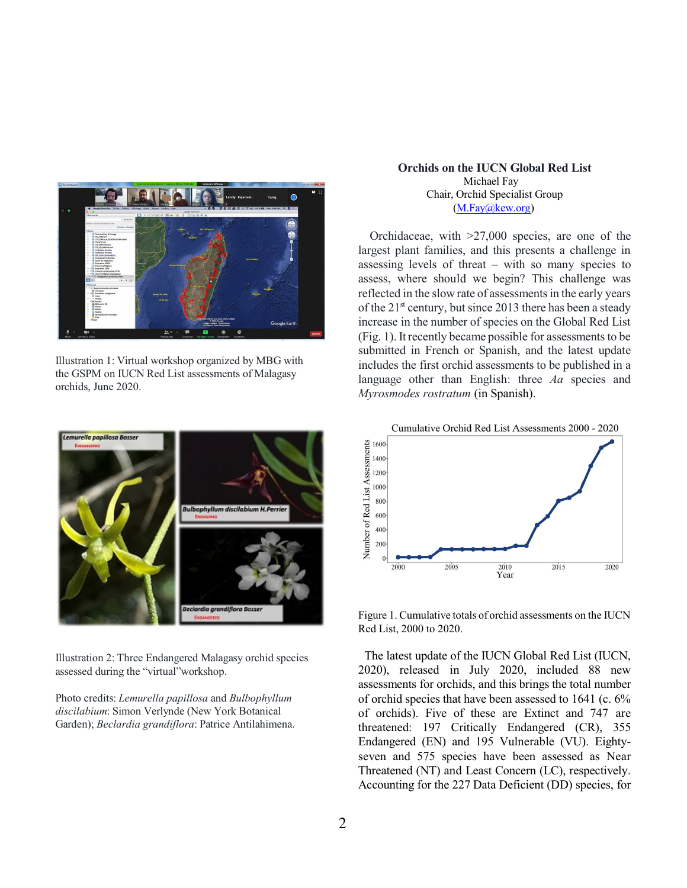

Illustration 1: Virtual workshop organized by MBG with the GSPM on IUCN Red List assessments of Malagasy orchids, June 2020.



Illustration 2: Three Endangered Malagasy orchid species assessed during the "virtual"workshop.

Photo credits: *Lemurella papillosa* and *Bulbophyllum discilabium*: Simon Verlynde (New York Botanical Garden); *Beclardia grandiflora*: Patrice Antilahimena.

### **Orchids on the IUCN Global Red List** Michael Fay Chair, Orchid Specialist Group [\(M.Fay@kew.org](mailto:M.Fay@kew.org))

Orchidaceae, with >27,000 species, are one of the largest plant families, and this presents a challenge in assessing levels of threat – with so many species to assess, where should we begin? This challenge was reflected in the slow rate of assessments in the early years of the 21<sup>st</sup> century, but since 2013 there has been a steady increase in the number of species on the Global Red List (Fig. 1). It recently became possible for assessments to be submitted in French or Spanish, and the latest update includes the first orchid assessments to be published in a language other than English: three *Aa* species and *Myrosmodes rostratum* (in Spanish).



Figure 1. Cumulative totals of orchid assessments on the IUCN Red List, 2000 to 2020.

 The latest update of the IUCN Global Red List (IUCN, 2020), released in July 2020, included 88 new assessments for orchids, and this brings the total number of orchid species that have been assessed to 1641 (c. 6% of orchids). Five of these are Extinct and 747 are threatened: 197 Critically Endangered (CR), 355 Endangered (EN) and 195 Vulnerable (VU). Eightyseven and 575 species have been assessed as Near Threatened (NT) and Least Concern (LC), respectively. Accounting for the 227 Data Deficient (DD) species, for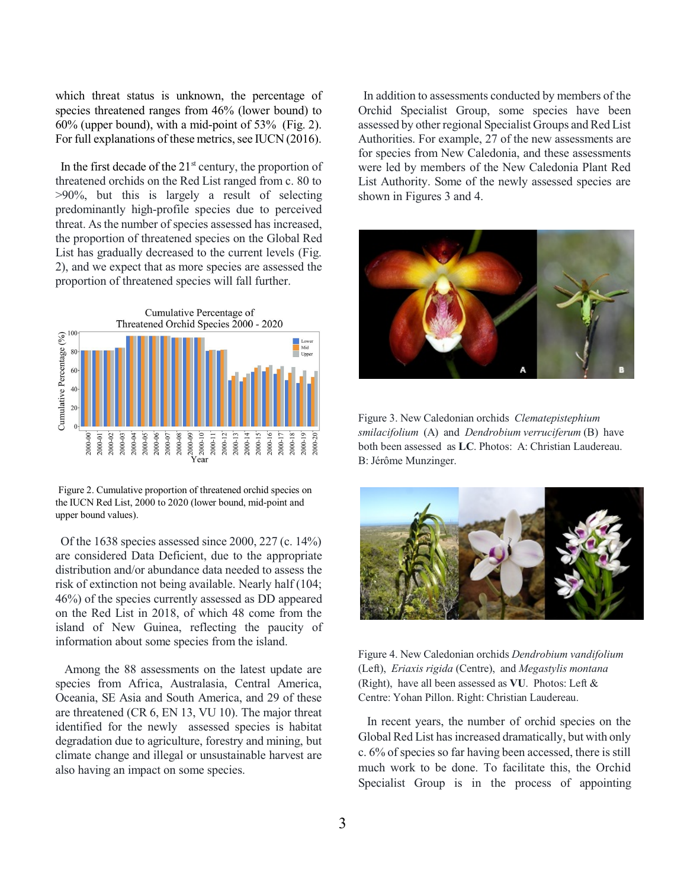which threat status is unknown, the percentage of species threatened ranges from 46% (lower bound) to 60% (upper bound), with a mid-point of 53% (Fig. 2). For full explanations of these metrics, see IUCN (2016).

In the first decade of the  $21<sup>st</sup>$  century, the proportion of threatened orchids on the Red List ranged from c. 80 to >90%, but this is largely a result of selecting predominantly high-profile species due to perceived threat. Asthe number of species assessed has increased, the proportion of threatened species on the Global Red List has gradually decreased to the current levels (Fig. 2), and we expect that as more species are assessed the proportion of threatened species will fall further.



Figure 2. Cumulative proportion of threatened orchid species on the IUCN Red List, 2000 to 2020 (lower bound, mid-point and upper bound values).

Of the 1638 species assessed since 2000, 227 (c. 14%) are considered Data Deficient, due to the appropriate distribution and/or abundance data needed to assess the risk of extinction not being available. Nearly half (104; 46%) of the species currently assessed as DD appeared on the Red List in 2018, of which 48 come from the island of New Guinea, reflecting the paucity of information about some species from the island.

Among the 88 assessments on the latest update are species from Africa, Australasia, Central America, Oceania, SE Asia and South America, and 29 of these are threatened (CR 6, EN 13, VU 10). The major threat identified for the newly assessed species is habitat degradation due to agriculture, forestry and mining, but climate change and illegal or unsustainable harvest are also having an impact on some species.

In addition to assessments conducted by members of the Orchid Specialist Group, some species have been assessed by other regional Specialist Groups and Red List Authorities. For example, 27 of the new assessments are for species from New Caledonia, and these assessments were led by members of the New Caledonia Plant Red List Authority. Some of the newly assessed species are shown in Figures 3 and 4.



Figure 3. New Caledonian orchids *Clematepistephium smilacifolium* (A) and *Dendrobium verruciferum* (B) have both been assessed as **LC**. Photos: A: Christian Laudereau. B: Jérôme Munzinger.



Figure 4. New Caledonian orchids *Dendrobium vandifolium* (Left), *Eriaxis rigida* (Centre), and *Megastylis montana* (Right), have all been assessed as **VU**. Photos: Left & Centre: Yohan Pillon. Right: Christian Laudereau.

In recent years, the number of orchid species on the Global Red List has increased dramatically, but with only c. 6% of species so far having been accessed, there is still much work to be done. To facilitate this, the Orchid Specialist Group is in the process of appointing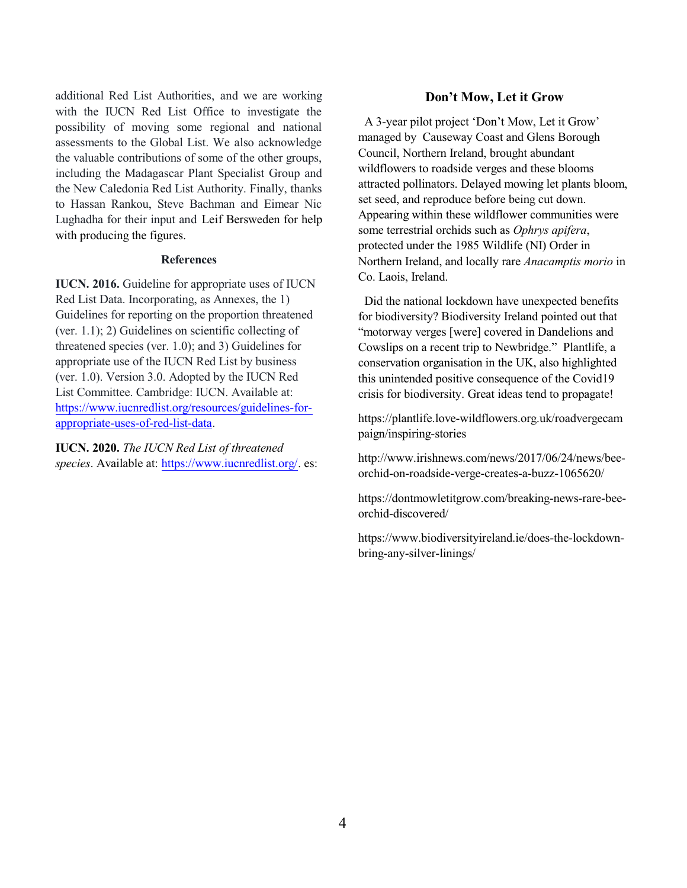additional Red List Authorities, and we are working with the IUCN Red List Office to investigate the possibility of moving some regional and national assessments to the Global List. We also acknowledge the valuable contributions of some of the other groups, including the Madagascar Plant Specialist Group and the New Caledonia Red List Authority. Finally, thanks to Hassan Rankou, Steve Bachman and Eimear Nic Lughadha for their input and Leif Bersweden for help with producing the figures.

#### **References**

**IUCN. 2016.** Guideline for appropriate uses of IUCN Red List Data. Incorporating, as Annexes, the 1) Guidelines for reporting on the proportion threatened (ver. 1.1); 2) Guidelines on scientific collecting of threatened species (ver. 1.0); and 3) Guidelines for appropriate use of the IUCN Red List by business (ver. 1.0). Version 3.0. Adopted by the IUCN Red List Committee. Cambridge: IUCN. Available at: [https://www.iucnredlist.org/resources/guidelines-for](https://www.iucnredlist.org/resources/guidelines-for-appropriate-uses-of-red-list-data)[appropriate-uses-of-red-list-data](https://www.iucnredlist.org/resources/guidelines-for-appropriate-uses-of-red-list-data).

**IUCN. 2020.** *The IUCN Red List of threatened species*. Available at: <https://www.iucnredlist.org/>. es:

### **Don't Mow, Let it Grow**

 A 3-year pilot project 'Don't Mow, Let it Grow' managed by Causeway Coast and Glens Borough Council, Northern Ireland, brought abundant wildflowers to roadside verges and these blooms attracted pollinators. Delayed mowing let plants bloom, set seed, and reproduce before being cut down. Appearing within these wildflower communities were some terrestrial orchids such as *Ophrys apifera*, protected under the 1985 Wildlife (NI) Order in Northern Ireland, and locally rare *Anacamptis morio* in Co. Laois, Ireland.

 Did the national lockdown have unexpected benefits for biodiversity? Biodiversity Ireland pointed out that "motorway verges [were] covered in Dandelions and Cowslips on a recent trip to Newbridge." Plantlife, a conservation organisation in the UK, also highlighted this unintended positive consequence of the Covid19 crisis for biodiversity. Great ideas tend to propagate!

https://plantlife.love-wildflowers.org.uk/roadvergecam paign/inspiring-stories

http://www.irishnews.com/news/2017/06/24/news/beeorchid-on-roadside-verge-creates-a-buzz-1065620/

https://dontmowletitgrow.com/breaking-news-rare-beeorchid-discovered/

https://www.biodiversityireland.ie/does-the-lockdownbring-any-silver-linings/